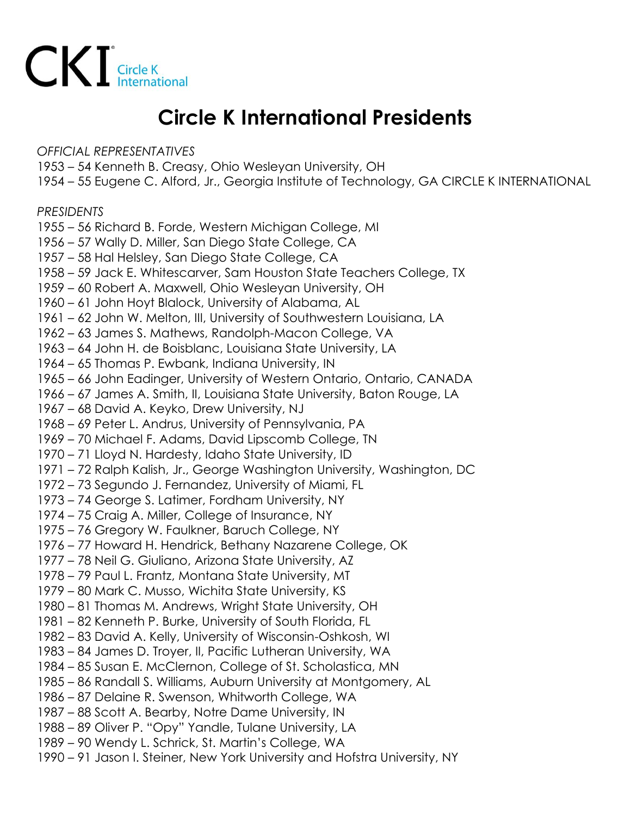

## **Circle K International Presidents**

*OFFICIAL REPRESENTATIVES* 

- 54 Kenneth B. Creasy, Ohio Wesleyan University, OH
- 55 Eugene C. Alford, Jr., Georgia Institute of Technology, GA CIRCLE K INTERNATIONAL

## *PRESIDENTS*

- 56 Richard B. Forde, Western Michigan College, MI
- 57 Wally D. Miller, San Diego State College, CA
- 58 Hal Helsley, San Diego State College, CA
- 59 Jack E. Whitescarver, Sam Houston State Teachers College, TX
- 60 Robert A. Maxwell, Ohio Wesleyan University, OH
- 61 John Hoyt Blalock, University of Alabama, AL
- 62 John W. Melton, III, University of Southwestern Louisiana, LA
- 63 James S. Mathews, Randolph-Macon College, VA
- 64 John H. de Boisblanc, Louisiana State University, LA
- 65 Thomas P. Ewbank, Indiana University, IN
- 66 John Eadinger, University of Western Ontario, Ontario, CANADA
- 67 James A. Smith, II, Louisiana State University, Baton Rouge, LA
- 68 David A. Keyko, Drew University, NJ
- 69 Peter L. Andrus, University of Pennsylvania, PA
- 70 Michael F. Adams, David Lipscomb College, TN
- 71 Lloyd N. Hardesty, Idaho State University, ID
- 72 Ralph Kalish, Jr., George Washington University, Washington, DC
- 73 Segundo J. Fernandez, University of Miami, FL
- 74 George S. Latimer, Fordham University, NY
- 75 Craig A. Miller, College of Insurance, NY
- 76 Gregory W. Faulkner, Baruch College, NY
- 77 Howard H. Hendrick, Bethany Nazarene College, OK
- 78 Neil G. Giuliano, Arizona State University, AZ
- 79 Paul L. Frantz, Montana State University, MT
- 80 Mark C. Musso, Wichita State University, KS
- 81 Thomas M. Andrews, Wright State University, OH
- 82 Kenneth P. Burke, University of South Florida, FL
- 83 David A. Kelly, University of Wisconsin-Oshkosh, WI
- 84 James D. Troyer, II, Pacific Lutheran University, WA
- 85 Susan E. McClernon, College of St. Scholastica, MN
- 86 Randall S. Williams, Auburn University at Montgomery, AL
- 87 Delaine R. Swenson, Whitworth College, WA
- 88 Scott A. Bearby, Notre Dame University, IN
- 89 Oliver P. "Opy" Yandle, Tulane University, LA
- 90 Wendy L. Schrick, St. Martin's College, WA
- 91 Jason I. Steiner, New York University and Hofstra University, NY